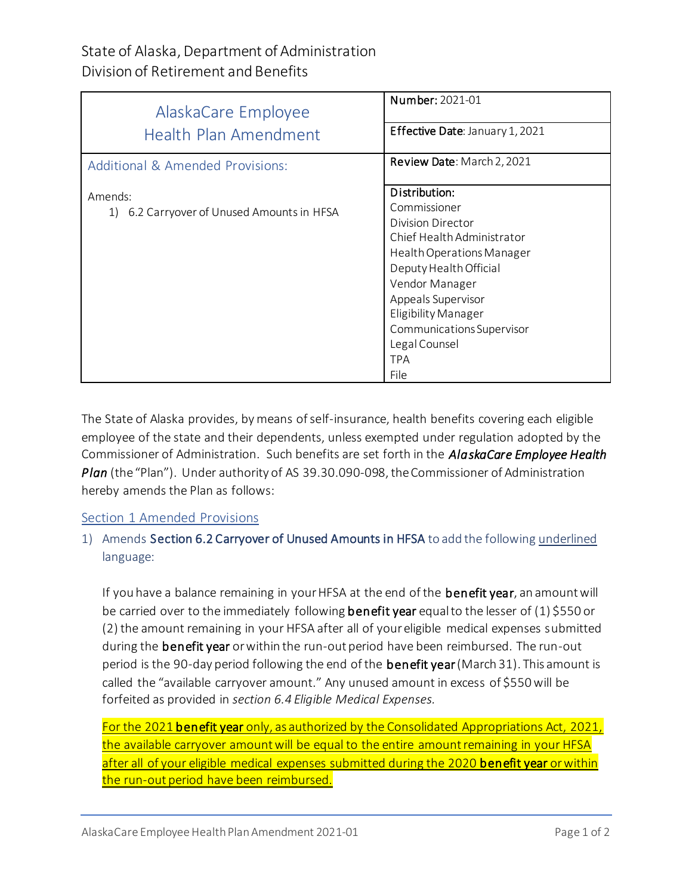# State of Alaska, Department of Administration Division of Retirement and Benefits

| AlaskaCare Employee                           | Number: 2021-01                 |
|-----------------------------------------------|---------------------------------|
| <b>Health Plan Amendment</b>                  | Effective Date: January 1, 2021 |
| Additional & Amended Provisions:              | Review Date: March 2, 2021      |
| Amends:                                       | Distribution:                   |
| 6.2 Carryover of Unused Amounts in HFSA<br>1) | Commissioner                    |
|                                               | Division Director               |
|                                               | Chief Health Administrator      |
|                                               | Health Operations Manager       |
|                                               | Deputy Health Official          |
|                                               | Vendor Manager                  |
|                                               | Appeals Supervisor              |
|                                               | Eligibility Manager             |
|                                               | Communications Supervisor       |
|                                               | Legal Counsel                   |
|                                               | <b>TPA</b>                      |
|                                               | File                            |

The State of Alaska provides, by means of self-insurance, health benefits covering each eligible employee of the state and their dependents, unless exempted under regulation adopted by the Commissioner of Administration. Such benefits are set forth in the *AlaskaCare Employee Health Plan* (the "Plan"). Under authority of AS 39.30.090-098, the Commissioner of Administration hereby amends the Plan as follows:

## Section 1 Amended Provisions

## 1) Amends Section 6.2 Carryover of Unused Amounts in HFSA to add the following underlined language:

If you have a balance remaining in your HFSA at the end of the **benefit year**, an amount will be carried over to the immediately following **benefit year** equal to the lesser of  $(1)$  \$550 or (2) the amount remaining in your HFSA after all of your eligible medical expenses submitted during the benefit year or within the run-out period have been reimbursed. The run-out period is the 90-day period following the end of the **benefit year** (March 31). This amount is called the "available carryover amount." Any unused amount in excess of \$550 will be forfeited as provided in *section 6.4 Eligible Medical Expenses.*

For the 2021 benefit year only, as authorized by the Consolidated Appropriations Act, 2021, the available carryover amount will be equal to the entire amount remaining in your HFSA after all of your eligible medical expenses submitted during the 2020 benefit year or within the run-out period have been reimbursed.